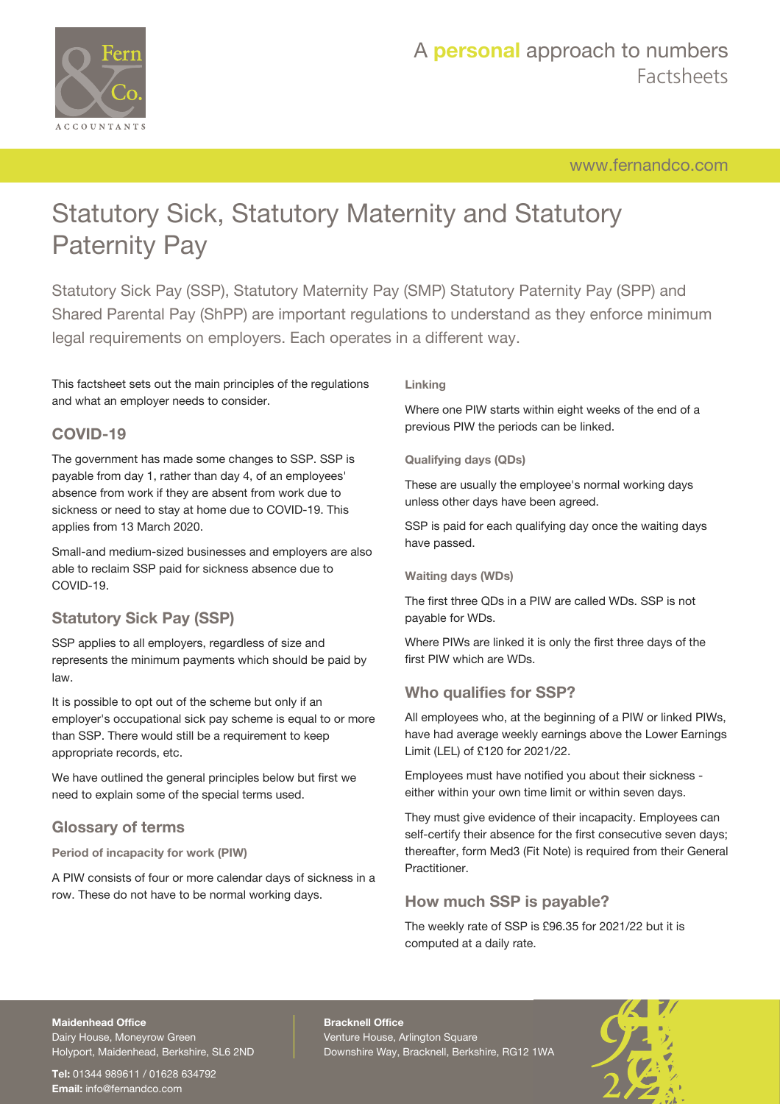

[www.fernandco.com](http://www.fernandco.com)

# Statutory Sick, Statutory Maternity and Statutory Paternity Pay

Statutory Sick Pay (SSP), Statutory Maternity Pay (SMP) Statutory Paternity Pay (SPP) and Shared Parental Pay (ShPP) are important regulations to understand as they enforce minimum legal requirements on employers. Each operates in a different way.

This factsheet sets out the main principles of the regulations and what an employer needs to consider.

## **COVID-19**

The government has made some changes to SSP. SSP is payable from day 1, rather than day 4, of an employees' absence from work if they are absent from work due to sickness or need to stay at home due to COVID-19. This applies from 13 March 2020.

Small-and medium-sized businesses and employers are also able to reclaim SSP paid for sickness absence due to COVID-19.

## **Statutory Sick Pay (SSP)**

SSP applies to all employers, regardless of size and represents the minimum payments which should be paid by law.

It is possible to opt out of the scheme but only if an employer's occupational sick pay scheme is equal to or more than SSP. There would still be a requirement to keep appropriate records, etc.

We have outlined the general principles below but first we need to explain some of the special terms used.

### **Glossary of terms**

**Period of incapacity for work (PIW)**

A PIW consists of four or more calendar days of sickness in a row. These do not have to be normal working days.

### **Linking**

Where one PIW starts within eight weeks of the end of a previous PIW the periods can be linked.

### **Qualifying days (QDs)**

These are usually the employee's normal working days unless other days have been agreed.

SSP is paid for each qualifying day once the waiting days have passed.

**Waiting days (WDs)**

The first three QDs in a PIW are called WDs. SSP is not payable for WDs.

Where PIWs are linked it is only the first three days of the first PIW which are WDs.

## **Who qualifies for SSP?**

All employees who, at the beginning of a PIW or linked PIWs, have had average weekly earnings above the Lower Earnings Limit (LEL) of £120 for 2021/22.

Employees must have notified you about their sickness either within your own time limit or within seven days.

They must give evidence of their incapacity. Employees can self-certify their absence for the first consecutive seven days; thereafter, form Med3 (Fit Note) is required from their General Practitioner.

## **How much SSP is payable?**

The weekly rate of SSP is £96.35 for 2021/22 but it is computed at a daily rate.

### **Maidenhead Office** Dairy House, Moneyrow Green

Holyport, Maidenhead, Berkshire, SL6 2ND

**Tel:** 01344 989611 / 01628 634792 **Email:** [info@fernandco.com](mailto:info@fernandco.com)

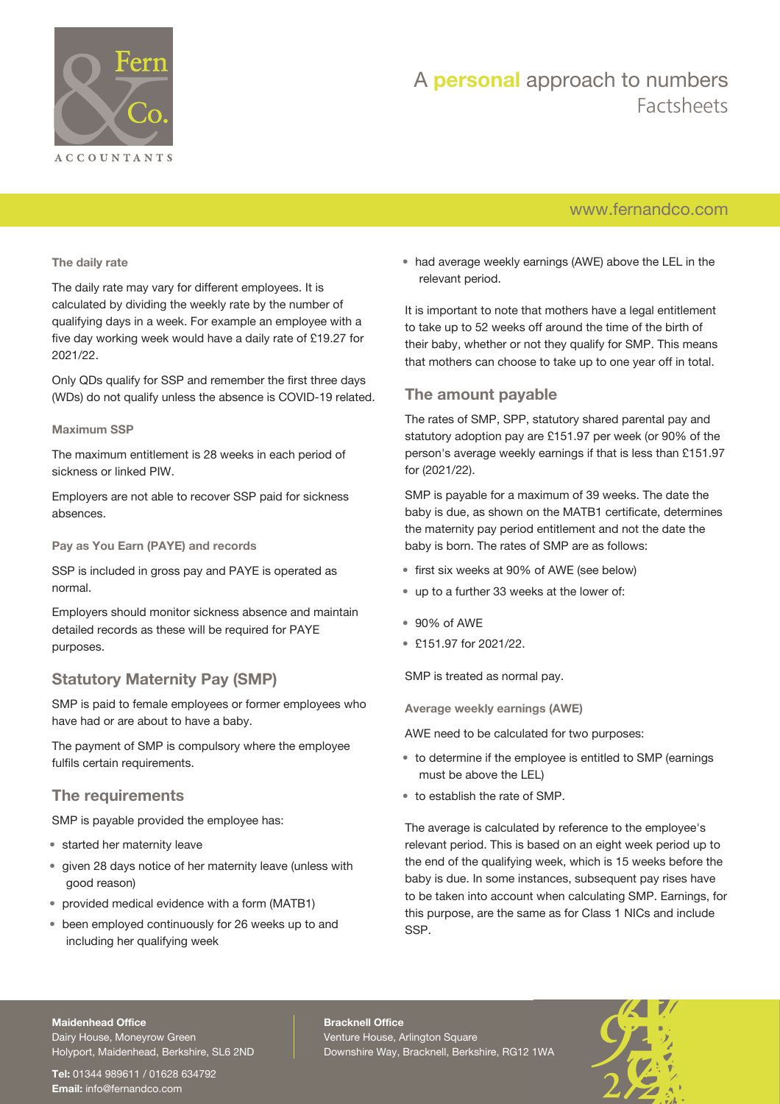

## A **personal** approach to numbers Factsheets

## [www.fernandco.com](http://www.fernandco.com)

### **The daily rate**

The daily rate may vary for different employees. It is calculated by dividing the weekly rate by the number of qualifying days in a week. For example an employee with a five day working week would have a daily rate of £19.27 for 2021/22.

Only QDs qualify for SSP and remember the first three days (WDs) do not qualify unless the absence is COVID-19 related.

### **Maximum SSP**

The maximum entitlement is 28 weeks in each period of sickness or linked PIW.

Employers are not able to recover SSP paid for sickness absences.

### **Pay as You Earn (PAYE) and records**

SSP is included in gross pay and PAYE is operated as normal.

Employers should monitor sickness absence and maintain detailed records as these will be required for PAYE purposes.

## **Statutory Maternity Pay (SMP)**

SMP is paid to female employees or former employees who have had or are about to have a baby.

The payment of SMP is compulsory where the employee fulfils certain requirements.

### **The requirements**

SMP is payable provided the employee has:

- started her maternity leave
- given 28 days notice of her maternity leave (unless with good reason)
- provided medical evidence with a form (MATB1)
- been employed continuously for 26 weeks up to and including her qualifying week

• had average weekly earnings (AWE) above the LEL in the relevant period.

It is important to note that mothers have a legal entitlement to take up to 52 weeks off around the time of the birth of their baby, whether or not they qualify for SMP. This means that mothers can choose to take up to one year off in total.

## **The amount payable**

The rates of SMP, SPP, statutory shared parental pay and statutory adoption pay are £151.97 per week (or 90% of the person's average weekly earnings if that is less than £151.97 for (2021/22).

SMP is payable for a maximum of 39 weeks. The date the baby is due, as shown on the MATB1 certificate, determines the maternity pay period entitlement and not the date the baby is born. The rates of SMP are as follows:

- first six weeks at 90% of AWE (see below)
- up to a further 33 weeks at the lower of:
- 90% of AWE
- £151.97 for 2021/22.

SMP is treated as normal pay.

**Average weekly earnings (AWE)**

AWE need to be calculated for two purposes:

- to determine if the employee is entitled to SMP (earnings must be above the LEL)
- to establish the rate of SMP.

The average is calculated by reference to the employee's relevant period. This is based on an eight week period up to the end of the qualifying week, which is 15 weeks before the baby is due. In some instances, subsequent pay rises have to be taken into account when calculating SMP. Earnings, for this purpose, are the same as for Class 1 NICs and include SSP.

#### **Maidenhead Office**

Dairy House, Moneyrow Green Holyport, Maidenhead, Berkshire, SL6 2ND

**Tel:** 01344 989611 / 01628 634792 **Email:** [info@fernandco.com](mailto:info@fernandco.com)

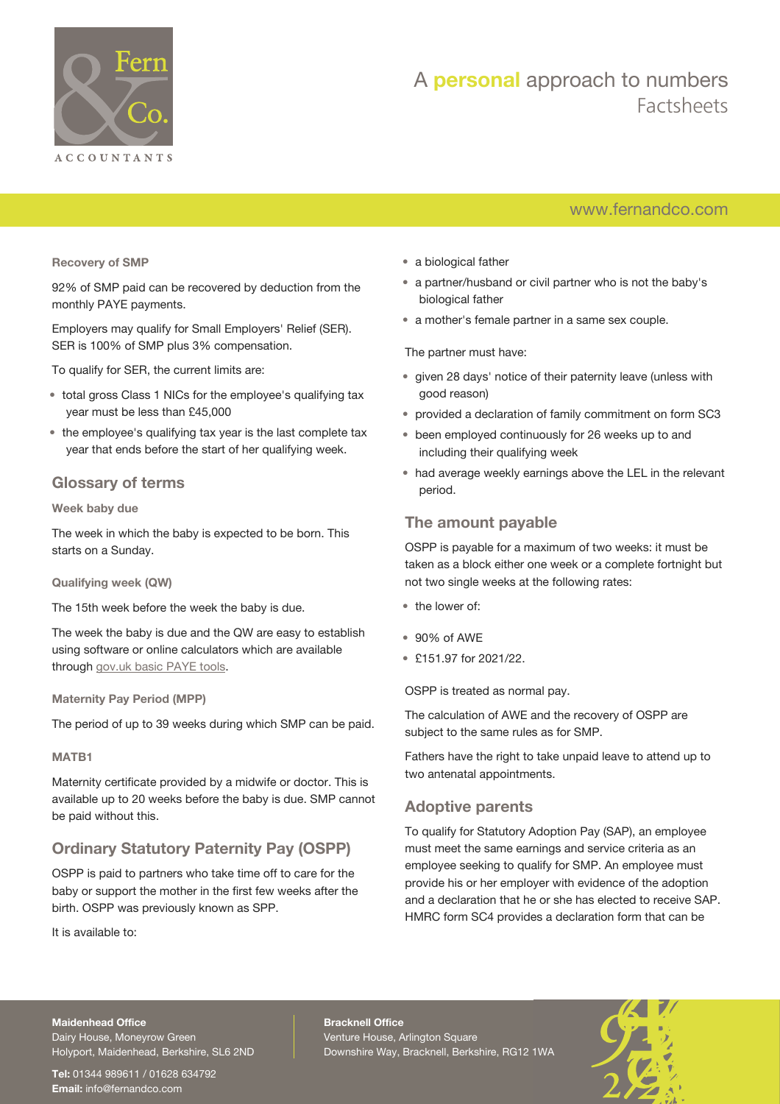

## A **personal** approach to numbers Factsheets

## [www.fernandco.com](http://www.fernandco.com)

**Recovery of SMP**

92% of SMP paid can be recovered by deduction from the monthly PAYE payments.

Employers may qualify for Small Employers' Relief (SER). SER is 100% of SMP plus 3% compensation.

To qualify for SER, the current limits are:

- total gross Class 1 NICs for the employee's qualifying tax year must be less than £45,000
- the employee's qualifying tax year is the last complete tax year that ends before the start of her qualifying week.

### **Glossary of terms**

### **Week baby due**

The week in which the baby is expected to be born. This starts on a Sunday.

**Qualifying week (QW)**

The 15th week before the week the baby is due.

The week the baby is due and the QW are easy to establish using software or online calculators which are available through [gov.uk basic PAYE tools](https://www.gov.uk/basic-paye-tools).

**Maternity Pay Period (MPP)**

The period of up to 39 weeks during which SMP can be paid.

### **MATB1**

Maternity certificate provided by a midwife or doctor. This is available up to 20 weeks before the baby is due. SMP cannot be paid without this.

## **Ordinary Statutory Paternity Pay (OSPP)**

OSPP is paid to partners who take time off to care for the baby or support the mother in the first few weeks after the birth. OSPP was previously known as SPP.

It is available to:

- a biological father
- a partner/husband or civil partner who is not the baby's biological father
- a mother's female partner in a same sex couple.

The partner must have:

- given 28 days' notice of their paternity leave (unless with good reason)
- provided a declaration of family commitment on form SC3
- been employed continuously for 26 weeks up to and including their qualifying week
- had average weekly earnings above the LEL in the relevant period.

### **The amount payable**

OSPP is payable for a maximum of two weeks: it must be taken as a block either one week or a complete fortnight but not two single weeks at the following rates:

- the lower of:
- 90% of AWE
- £151.97 for 2021/22.

OSPP is treated as normal pay.

The calculation of AWE and the recovery of OSPP are subject to the same rules as for SMP.

Fathers have the right to take unpaid leave to attend up to two antenatal appointments.

### **Adoptive parents**

To qualify for Statutory Adoption Pay (SAP), an employee must meet the same earnings and service criteria as an employee seeking to qualify for SMP. An employee must provide his or her employer with evidence of the adoption and a declaration that he or she has elected to receive SAP. HMRC form SC4 provides a declaration form that can be

### **Maidenhead Office**

Dairy House, Moneyrow Green Holyport, Maidenhead, Berkshire, SL6 2ND

**Tel:** 01344 989611 / 01628 634792 **Email:** [info@fernandco.com](mailto:info@fernandco.com)